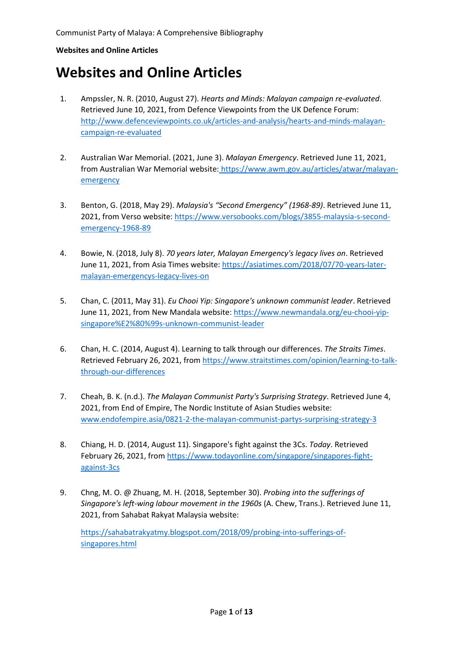# **Websites and Online Articles**

- 1. Ampssler, N. R. (2010, August 27). *Hearts and Minds: Malayan campaign re-evaluated*. Retrieved June 10, 2021, from Defence Viewpoints from the UK Defence Forum: [http://www.defenceviewpoints.co.uk/articles-and-analysis/hearts-and-minds-malayan](http://www.defenceviewpoints.co.uk/articles-and-analysis/hearts-and-minds-malayan-campaign-re-evaluated)[campaign-re-evaluated](http://www.defenceviewpoints.co.uk/articles-and-analysis/hearts-and-minds-malayan-campaign-re-evaluated)
- 2. Australian War Memorial. (2021, June 3). *Malayan Emergency*. Retrieved June 11, 2021, from Australian War Memorial website: [https://www.awm.gov.au/articles/atwar/malayan](https://www.awm.gov.au/articles/atwar/malayan-emergency)[emergency](https://www.awm.gov.au/articles/atwar/malayan-emergency)
- 3. Benton, G. (2018, May 29). *Malaysia's "Second Emergency" (1968-89)*. Retrieved June 11, 2021, from Verso website: [https://www.versobooks.com/blogs/3855-malaysia-s-second](https://www.versobooks.com/blogs/3855-malaysia-s-second-emergency-1968-89)[emergency-1968-89](https://www.versobooks.com/blogs/3855-malaysia-s-second-emergency-1968-89)
- 4. Bowie, N. (2018, July 8). *70 years later, Malayan Emergency's legacy lives on*. Retrieved June 11, 2021, from Asia Times website[: https://asiatimes.com/2018/07/70-years-later](https://asiatimes.com/2018/07/70-years-later-malayan-emergencys-legacy-lives-on)[malayan-emergencys-legacy-lives-on](https://asiatimes.com/2018/07/70-years-later-malayan-emergencys-legacy-lives-on)
- 5. Chan, C. (2011, May 31). *Eu Chooi Yip: Singapore's unknown communist leader*. Retrieved June 11, 2021, from New Mandala website[: https://www.newmandala.org/eu-chooi-yip](https://www.newmandala.org/eu-chooi-yip-singapore%E2%80%99s-unknown-communist-leader)[singapore%E2%80%99s-unknown-communist-leader](https://www.newmandala.org/eu-chooi-yip-singapore%E2%80%99s-unknown-communist-leader)
- 6. Chan, H. C. (2014, August 4). Learning to talk through our differences. *The Straits Times*. Retrieved February 26, 2021, from [https://www.straitstimes.com/opinion/learning-to-talk](https://www.straitstimes.com/opinion/learning-to-talk-through-our-differences)[through-our-differences](https://www.straitstimes.com/opinion/learning-to-talk-through-our-differences)
- 7. Cheah, B. K. (n.d.). *The Malayan Communist Party's Surprising Strategy*. Retrieved June 4, 2021, from End of Empire, The Nordic Institute of Asian Studies website: [www.endofempire.asia/0821-2-the-malayan-communist-partys-surprising-strategy-3](http://www.endofempire.asia/0821-2-the-malayan-communist-partys-surprising-strategy-3)
- 8. Chiang, H. D. (2014, August 11). Singapore's fight against the 3Cs. *Today*. Retrieved February 26, 2021, from [https://www.todayonline.com/singapore/singapores-fight](https://www.todayonline.com/singapore/singapores-fight-against-3cs)[against-3cs](https://www.todayonline.com/singapore/singapores-fight-against-3cs)
- 9. Chng, M. O. @ Zhuang, M. H. (2018, September 30). *Probing into the sufferings of Singapore's left-wing labour movement in the 1960s* (A. Chew, Trans.). Retrieved June 11, 2021, from Sahabat Rakyat Malaysia website:

[https://sahabatrakyatmy.blogspot.com/2018/09/probing-into-sufferings-of](https://sahabatrakyatmy.blogspot.com/2018/09/probing-into-sufferings-of-singapores.html)[singapores.html](https://sahabatrakyatmy.blogspot.com/2018/09/probing-into-sufferings-of-singapores.html)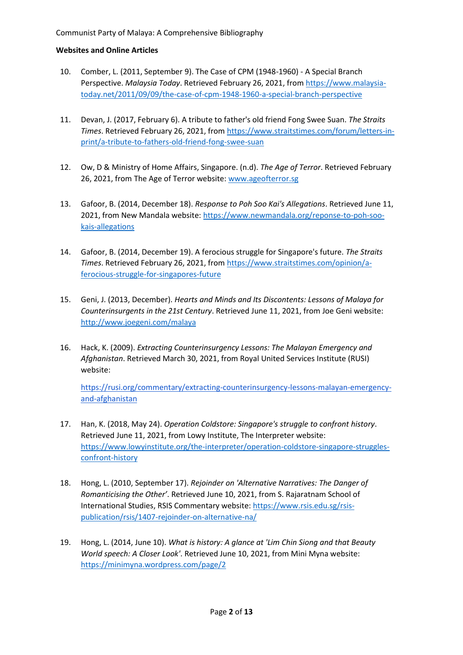- 10. Comber, L. (2011, September 9). The Case of CPM (1948-1960) A Special Branch Perspective. *Malaysia Today*. Retrieved February 26, 2021, from [https://www.malaysia](https://www.malaysia-today.net/2011/09/09/the-case-of-cpm-1948-1960-a-special-branch-perspective)[today.net/2011/09/09/the-case-of-cpm-1948-1960-a-special-branch-perspective](https://www.malaysia-today.net/2011/09/09/the-case-of-cpm-1948-1960-a-special-branch-perspective)
- 11. Devan, J. (2017, February 6). A tribute to father's old friend Fong Swee Suan. *The Straits Times*. Retrieved February 26, 2021, from [https://www.straitstimes.com/forum/letters-in](https://www.straitstimes.com/forum/letters-in-print/a-tribute-to-fathers-old-friend-fong-swee-suan)[print/a-tribute-to-fathers-old-friend-fong-swee-suan](https://www.straitstimes.com/forum/letters-in-print/a-tribute-to-fathers-old-friend-fong-swee-suan)
- 12. Ow, D & Ministry of Home Affairs, Singapore. (n.d). *The Age of Terror*. Retrieved February 26, 2021, from The Age of Terror website: [www.ageofterror.sg](http://www.ageofterror.sg/)
- 13. Gafoor, B. (2014, December 18). *Response to Poh Soo Kai's Allegations*. Retrieved June 11, 2021, from New Mandala website: [https://www.newmandala.org/reponse-to-poh-soo](https://www.newmandala.org/reponse-to-poh-soo-kais-allegations)[kais-allegations](https://www.newmandala.org/reponse-to-poh-soo-kais-allegations)
- 14. Gafoor, B. (2014, December 19). A ferocious struggle for Singapore's future. *The Straits Times*. Retrieved February 26, 2021, from [https://www.straitstimes.com/opinion/a](https://www.straitstimes.com/opinion/a-ferocious-struggle-for-singapores-future)[ferocious-struggle-for-singapores-future](https://www.straitstimes.com/opinion/a-ferocious-struggle-for-singapores-future)
- 15. Geni, J. (2013, December). *Hearts and Minds and Its Discontents: Lessons of Malaya for Counterinsurgents in the 21st Century*. Retrieved June 11, 2021, from Joe Geni website: <http://www.joegeni.com/malaya>
- 16. Hack, K. (2009). *Extracting Counterinsurgency Lessons: The Malayan Emergency and Afghanistan*. Retrieved March 30, 2021, from Royal United Services Institute (RUSI) website:

[https://rusi.org/commentary/extracting-counterinsurgency-lessons-malayan-emergency](https://rusi.org/commentary/extracting-counterinsurgency-lessons-malayan-emergency-and-afghanistan)[and-afghanistan](https://rusi.org/commentary/extracting-counterinsurgency-lessons-malayan-emergency-and-afghanistan)

- 17. Han, K. (2018, May 24). *Operation Coldstore: Singapore's struggle to confront history*. Retrieved June 11, 2021, from Lowy Institute, The Interpreter website: [https://www.lowyinstitute.org/the-interpreter/operation-coldstore-singapore-struggles](https://www.lowyinstitute.org/the-interpreter/operation-coldstore-singapore-struggles-confront-history)[confront-history](https://www.lowyinstitute.org/the-interpreter/operation-coldstore-singapore-struggles-confront-history)
- 18. Hong, L. (2010, September 17). *Rejoinder on 'Alternative Narratives: The Danger of Romanticising the Other'*. Retrieved June 10, 2021, from S. Rajaratnam School of International Studies, RSIS Commentary website: [https://www.rsis.edu.sg/rsis](https://www.rsis.edu.sg/rsis-publication/rsis/1407-rejoinder-on-alternative-na/)[publication/rsis/1407-rejoinder-on-alternative-na/](https://www.rsis.edu.sg/rsis-publication/rsis/1407-rejoinder-on-alternative-na/)
- 19. Hong, L. (2014, June 10). *What is history: A glance at 'Lim Chin Siong and that Beauty World speech: A Closer Look'*. Retrieved June 10, 2021, from Mini Myna website: <https://minimyna.wordpress.com/page/2>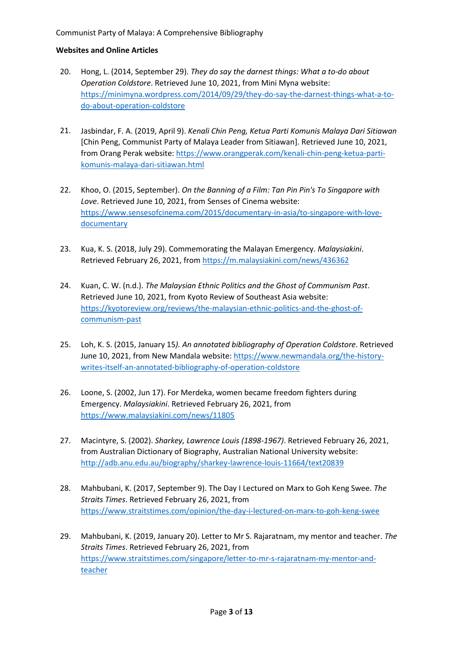#### Communist Party of Malaya: A Comprehensive Bibliography

- 20. Hong, L. (2014, September 29). *They do say the darnest things: What a to-do about Operation Coldstore*. Retrieved June 10, 2021, from Mini Myna website: [https://minimyna.wordpress.com/2014/09/29/they-do-say-the-darnest-things-what-a-to](https://minimyna.wordpress.com/2014/09/29/they-do-say-the-darnest-things-what-a-to-do-about-operation-coldstore)[do-about-operation-coldstore](https://minimyna.wordpress.com/2014/09/29/they-do-say-the-darnest-things-what-a-to-do-about-operation-coldstore)
- 21. Jasbindar, F. A. (2019, April 9). *Kenali Chin Peng, Ketua Parti Komunis Malaya Dari Sitiawan* [Chin Peng, Communist Party of Malaya Leader from Sitiawan]. Retrieved June 10, 2021, from Orang Perak website[: https://www.orangperak.com/kenali-chin-peng-ketua-parti](https://www.orangperak.com/kenali-chin-peng-ketua-parti-komunis-malaya-dari-sitiawan.html)[komunis-malaya-dari-sitiawan.html](https://www.orangperak.com/kenali-chin-peng-ketua-parti-komunis-malaya-dari-sitiawan.html)
- 22. Khoo, O. (2015, September). *On the Banning of a Film: Tan Pin Pin's To Singapore with Love*. Retrieved June 10, 2021, from Senses of Cinema website: [https://www.sensesofcinema.com/2015/documentary-in-asia/to-singapore-with-love](https://www.sensesofcinema.com/2015/documentary-in-asia/to-singapore-with-love-documentary)**[documentary](https://www.sensesofcinema.com/2015/documentary-in-asia/to-singapore-with-love-documentary)**
- 23. Kua, K. S. (2018, July 29). Commemorating the Malayan Emergency. *Malaysiakini*. Retrieved February 26, 2021, from <https://m.malaysiakini.com/news/436362>
- 24. Kuan, C. W. (n.d.). *The Malaysian Ethnic Politics and the Ghost of Communism Past*. Retrieved June 10, 2021, from Kyoto Review of Southeast Asia website: [https://kyotoreview.org/reviews/the-malaysian-ethnic-politics-and-the-ghost-of](https://kyotoreview.org/reviews/the-malaysian-ethnic-politics-and-the-ghost-of-communism-past)[communism-past](https://kyotoreview.org/reviews/the-malaysian-ethnic-politics-and-the-ghost-of-communism-past)
- 25. Loh, K. S. (2015, January 15*). An annotated bibliography of Operation Coldstore*. Retrieved June 10, 2021, from New Mandala website[: https://www.newmandala.org/the-history](https://www.newmandala.org/the-history-writes-itself-an-annotated-bibliography-of-operation-coldstore)[writes-itself-an-annotated-bibliography-of-operation-coldstore](https://www.newmandala.org/the-history-writes-itself-an-annotated-bibliography-of-operation-coldstore)
- 26. Loone, S. (2002, Jun 17). For Merdeka, women became freedom fighters during Emergency. *Malaysiakini*. Retrieved February 26, 2021, from <https://www.malaysiakini.com/news/11805>
- 27. Macintyre, S. (2002). *Sharkey, Lawrence Louis (1898-1967)*. Retrieved February 26, 2021, from Australian Dictionary of Biography, Australian National University website: <http://adb.anu.edu.au/biography/sharkey-lawrence-louis-11664/text20839>
- 28. Mahbubani, K. (2017, September 9). The Day I Lectured on Marx to Goh Keng Swee. *The Straits Times*. Retrieved February 26, 2021, from <https://www.straitstimes.com/opinion/the-day-i-lectured-on-marx-to-goh-keng-swee>
- 29. Mahbubani, K. (2019, January 20). Letter to Mr S. Rajaratnam, my mentor and teacher. *The Straits Times*. Retrieved February 26, 2021, from [https://www.straitstimes.com/singapore/letter-to-mr-s-rajaratnam-my-mentor-and](https://www.straitstimes.com/singapore/letter-to-mr-s-rajaratnam-my-mentor-and-teacher)[teacher](https://www.straitstimes.com/singapore/letter-to-mr-s-rajaratnam-my-mentor-and-teacher)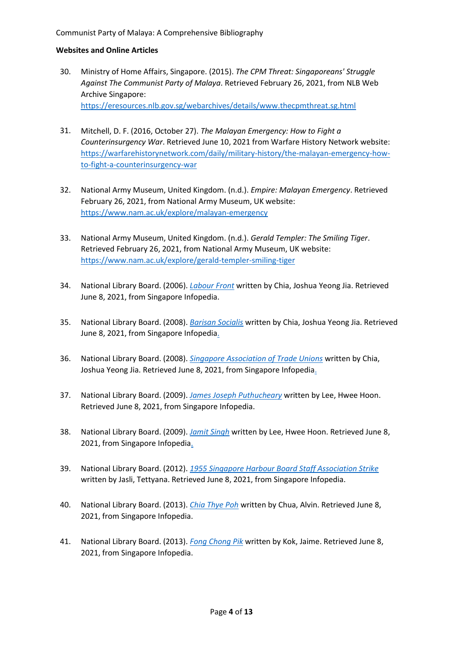- 30. Ministry of Home Affairs, Singapore. (2015). *The CPM Threat: Singaporeans' Struggle Against The Communist Party of Malaya*. Retrieved February 26, 2021, from NLB Web Archive Singapore: <https://eresources.nlb.gov.sg/webarchives/details/www.thecpmthreat.sg.html>
- 31. Mitchell, D. F. (2016, October 27). *The Malayan Emergency: How to Fight a Counterinsurgency War*. Retrieved June 10, 2021 from Warfare History Network website: [https://warfarehistorynetwork.com/daily/military-history/the-malayan-emergency-how](https://warfarehistorynetwork.com/daily/military-history/the-malayan-emergency-how-to-fight-a-counterinsurgency-war)[to-fight-a-counterinsurgency-war](https://warfarehistorynetwork.com/daily/military-history/the-malayan-emergency-how-to-fight-a-counterinsurgency-war)
- 32. National Army Museum, United Kingdom. (n.d.). *Empire: Malayan Emergency*. Retrieved February 26, 2021, from National Army Museum, UK website: <https://www.nam.ac.uk/explore/malayan-emergency>
- 33. National Army Museum, United Kingdom. (n.d.). *Gerald Templer: The Smiling Tiger*. Retrieved February 26, 2021, from National Army Museum, UK website: <https://www.nam.ac.uk/explore/gerald-templer-smiling-tiger>
- 34. National Library Board. (2006). *[Labour Front](https://eresources.nlb.gov.sg/infopedia/articles/SIP_1149_2010-06-14.html)* written by Chia, Joshua Yeong Jia. Retrieved June 8, 2021, from Singapore Infopedia.
- 35. National Library Board. (2008). *[Barisan Socialis](https://eresources.nlb.gov.sg/infopedia/articles/SIP_1148_2008-11-30.html)* written by Chia, Joshua Yeong Jia. Retrieved June 8, 2021, from Singapore Infopedia.
- 36. National Library Board. (2008). *[Singapore Association of Trade Unions](https://eresources.nlb.gov.sg/infopedia/articles/SIP_1237_2008-11-30.html)* written by Chia, Joshua Yeong Jia. Retrieved June 8, 2021, from Singapore Infopedia.
- 37. National Library Board. (2009). *[James Joseph Puthucheary](https://eresources.nlb.gov.sg/infopedia/articles/SIP_1471_2009-02-24.html)* written by Lee, Hwee Hoon. Retrieved June 8, 2021, from Singapore Infopedia.
- 38. National Library Board. (2009). *[Jamit Singh](https://eresources.nlb.gov.sg/infopedia/articles/SIP_1415_2009-01-12.html)* written by Lee, Hwee Hoon. Retrieved June 8, 2021, from Singapore Infopedia.
- 39. National Library Board. (2012). *[1955 Singapore Harbour Board Staff Association Strike](https://eresources.nlb.gov.sg/infopedia/articles/SIP_1242_2012-04-30.html)* written by Jasli, Tettyana. Retrieved June 8, 2021, from Singapore Infopedia.
- 40. National Library Board. (2013). *[Chia Thye Poh](https://eresources.nlb.gov.sg/infopedia/articles/SIP_2013-05-22_180815.html)* written by Chua, Alvin. Retrieved June 8, 2021, from Singapore Infopedia.
- 41. National Library Board. (2013). *[Fong Chong Pik](https://eresources.nlb.gov.sg/infopedia/articles/SIP_2013-07-12_103126.html)* written by Kok, Jaime. Retrieved June 8, 2021, from Singapore Infopedia.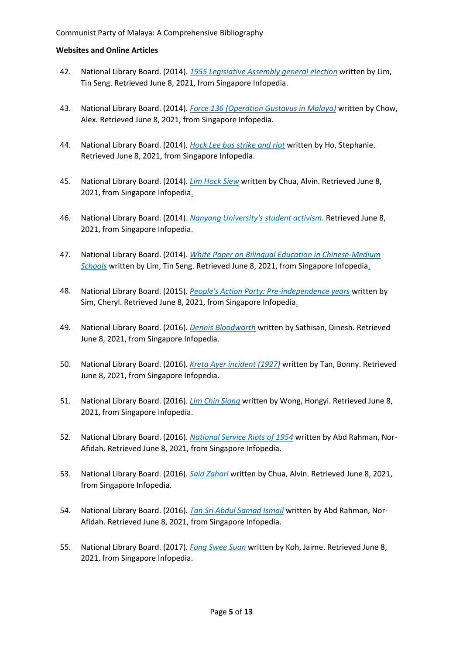- 42. National Library Board. (2014). *[1955 Legislative Assembly general election](https://eresources.nlb.gov.sg/infopedia/articles/SIP_2014-07-07_134339.html)* written by Lim, Tin Seng. Retrieved June 8, 2021, from Singapore Infopedia.
- 43. National Library Board. (2014). *[Force 136 \(Operation Gustavus in Malaya\)](https://eresources.nlb.gov.sg/infopedia/articles/SIP_68_2005-02-02.html)* written by Chow, Alex. Retrieved June 8, 2021, from Singapore Infopedia.
- 44. National Library Board. (2014). *[Hock Lee bus strike and riot](https://eresources.nlb.gov.sg/infopedia/articles/SIP_4_2005-01-06.html)* written by Ho, Stephanie. Retrieved June 8, 2021, from Singapore Infopedia.
- 45. National Library Board. (2014). *[Lim Hock Siew](https://eresources.nlb.gov.sg/infopedia/articles/SIP_2014-11-27_174645.html)* written by Chua, Alvin. Retrieved June 8, 2021, from Singapore Infopedia.
- 46. National Library Board. (2014). *[Nanyang University's student activism](https://eresources.nlb.gov.sg/infopedia/articles/SIP_2014-04-10_153052.html)*. Retrieved June 8, 2021, from Singapore Infopedia.
- 47. National Library Board. (2014). *[White Paper on Bilingual Education in Chinese-Medium](https://eresources.nlb.gov.sg/infopedia/articles/SIP_2014-07-07_134145.html)  [Schools](https://eresources.nlb.gov.sg/infopedia/articles/SIP_2014-07-07_134145.html)* written by Lim, Tin Seng. Retrieved June 8, 2021, from Singapore Infopedia.
- 48. National Library Board. (2015). *[People's Action Party: Pre-independence years](https://eresources.nlb.gov.sg/infopedia/articles/SIP_2015-02-04_094340.html)* written by Sim, Cheryl. Retrieved June 8, 2021, from Singapore Infopedia.
- 49. National Library Board. (2016). *[Dennis Bloodworth](https://eresources.nlb.gov.sg/infopedia/articles/SIP_1514_2009-04-25.html)* written by Sathisan, Dinesh. Retrieved June 8, 2021, from Singapore Infopedia.
- 50. National Library Board. (2016). *[Kreta Ayer incident \(1927\)](https://eresources.nlb.gov.sg/infopedia/articles/SIP_95_2005-01-06.html)* written by Tan, Bonny. Retrieved June 8, 2021, from Singapore Infopedia.
- 51. National Library Board. (2016). *[Lim Chin Siong](https://eresources.nlb.gov.sg/infopedia/articles/SIP_1462_2009-02-18.html)* written by Wong, Hongyi. Retrieved June 8, 2021, from Singapore Infopedia.
- 52. National Library Board. (2016). *[National Service Riots of 1954](https://eresources.nlb.gov.sg/infopedia/articles/SIP_1202_2006-07-28.html)* written by Abd Rahman, Nor-Afidah. Retrieved June 8, 2021, from Singapore Infopedia.
- 53. National Library Board. (2016). *Said [Zahari](https://eresources.nlb.gov.sg/infopedia/articles/SIP_1864_2012-01-09.html)* written by Chua, Alvin. Retrieved June 8, 2021, from Singapore Infopedia.
- 54. National Library Board. (2016). *[Tan Sri Abdul Samad Ismail](https://eresources.nlb.gov.sg/infopedia/articles/SIP_166_2005-01-20.html)* written by Abd Rahman, Nor-Afidah. Retrieved June 8, 2021, from Singapore Infopedia.
- 55. National Library Board. (2017). *[Fong Swee Suan](https://eresources.nlb.gov.sg/infopedia/articles/SIP_2013-07-29_173512.html)* written by Koh, Jaime. Retrieved June 8, 2021, from Singapore Infopedia.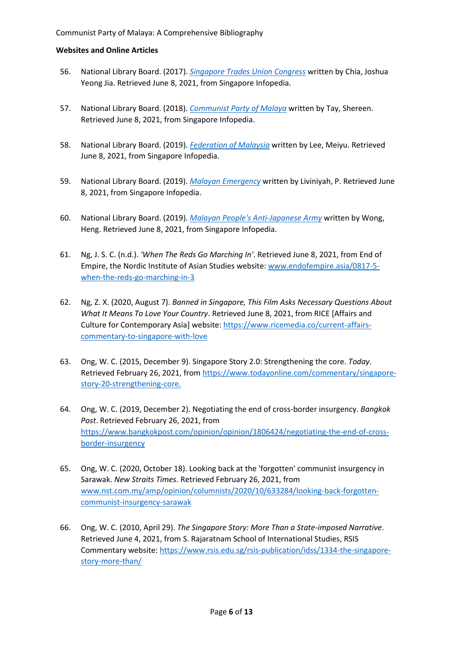- 56. National Library Board. (2017). *[Singapore Trades Union Congress](https://eresources.nlb.gov.sg/infopedia/articles/SIP_1236_2008-11-30.html)* written by Chia, Joshua Yeong Jia. Retrieved June 8, 2021, from Singapore Infopedia.
- 57. National Library Board. (2018). *[Communist Party of Malaya](https://eresources.nlb.gov.sg/infopedia/articles/SIP_2018-03-28_141257.html)* written by Tay, Shereen. Retrieved June 8, 2021, from Singapore Infopedia.
- 58. National Library Board. (2019). *[Federation of Malaysia](https://eresources.nlb.gov.sg/infopedia/articles/SIP_2019-07-15_170844.html)* written by Lee, Meiyu. Retrieved June 8, 2021, from Singapore Infopedia.
- 59. National Library Board. (2019). *[Malayan Emergency](https://eresources.nlb.gov.sg/infopedia/articles/SIP_2019-06-12_145539.html)* written by Liviniyah, P. Retrieved June 8, 2021, from Singapore Infopedia.
- 60. National Library Board. (2019). *[Malayan People's Anti-Japanese Army](https://eresources.nlb.gov.sg/infopedia/articles/SIP_905_2004-12-23.html)* written by Wong, Heng. Retrieved June 8, 2021, from Singapore Infopedia.
- 61. Ng, J. S. C. (n.d.). *'When The Reds Go Marching In'*. Retrieved June 8, 2021, from End of Empire, the Nordic Institute of Asian Studies website: [www.endofempire.asia/0817-5](http://www.endofempire.asia/0817-5-when-the-reds-go-marching-in-3) [when-the-reds-go-marching-in-3](http://www.endofempire.asia/0817-5-when-the-reds-go-marching-in-3)
- 62. Ng, Z. X. (2020, August 7). *Banned in Singapore, This Film Asks Necessary Questions About What It Means To Love Your Country*. Retrieved June 8, 2021, from RICE [Affairs and Culture for Contemporary Asia] website: [https://www.ricemedia.co/current-affairs](https://www.ricemedia.co/current-affairs-commentary-to-singapore-with-love)[commentary-to-singapore-with-love](https://www.ricemedia.co/current-affairs-commentary-to-singapore-with-love)
- 63. Ong, W. C. (2015, December 9). Singapore Story 2.0: Strengthening the core. *Today*. Retrieved February 26, 2021, from [https://www.todayonline.com/commentary/singapore](https://www.todayonline.com/commentary/singapore-story-20-strengthening-core)[story-20-strengthening-core.](https://www.todayonline.com/commentary/singapore-story-20-strengthening-core)
- 64. Ong, W. C. (2019, December 2). Negotiating the end of cross-border insurgency. *Bangkok Post*. Retrieved February 26, 2021, from [https://www.bangkokpost.com/opinion/opinion/1806424/negotiating-the-end-of-cross](https://www.bangkokpost.com/opinion/opinion/1806424/negotiating-the-end-of-cross-border-insurgency)[border-insurgency](https://www.bangkokpost.com/opinion/opinion/1806424/negotiating-the-end-of-cross-border-insurgency)
- 65. Ong, W. C. (2020, October 18). Looking back at the 'forgotten' communist insurgency in Sarawak. *New Straits Times*. Retrieved February 26, 2021, from [www.nst.com.my/amp/opinion/columnists/2020/10/633284/looking-back-forgotten](http://www.nst.com.my/amp/opinion/columnists/2020/10/633284/looking-back-forgotten-communist-insurgency-sarawak)[communist-insurgency-sarawak](http://www.nst.com.my/amp/opinion/columnists/2020/10/633284/looking-back-forgotten-communist-insurgency-sarawak)
- 66. Ong, W. C. (2010, April 29). *The Singapore Story: More Than a State-imposed Narrative*. Retrieved June 4, 2021, from S. Rajaratnam School of International Studies, RSIS Commentary website: [https://www.rsis.edu.sg/rsis-publication/idss/1334-the-singapore](https://www.rsis.edu.sg/rsis-publication/idss/1334-the-singapore-story-more-than/)[story-more-than/](https://www.rsis.edu.sg/rsis-publication/idss/1334-the-singapore-story-more-than/)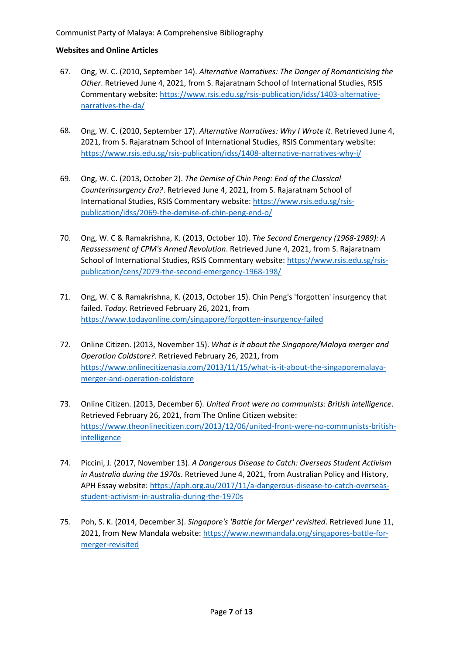#### Communist Party of Malaya: A Comprehensive Bibliography

- 67. Ong, W. C. (2010, September 14). *Alternative Narratives: The Danger of Romanticising the Other*. Retrieved June 4, 2021, from S. Rajaratnam School of International Studies, RSIS Commentary website: [https://www.rsis.edu.sg/rsis-publication/idss/1403-alternative](https://www.rsis.edu.sg/rsis-publication/idss/1403-alternative-narratives-the-da/)[narratives-the-da/](https://www.rsis.edu.sg/rsis-publication/idss/1403-alternative-narratives-the-da/)
- 68. Ong, W. C. (2010, September 17). *Alternative Narratives: Why I Wrote It*. Retrieved June 4, 2021, from S. Rajaratnam School of International Studies, RSIS Commentary website: <https://www.rsis.edu.sg/rsis-publication/idss/1408-alternative-narratives-why-i/>
- 69. Ong, W. C. (2013, October 2). *The Demise of Chin Peng: End of the Classical Counterinsurgency Era?*. Retrieved June 4, 2021, from S. Rajaratnam School of International Studies, RSIS Commentary website: [https://www.rsis.edu.sg/rsis](https://www.rsis.edu.sg/rsis-publication/idss/2069-the-demise-of-chin-peng-end-o/)[publication/idss/2069-the-demise-of-chin-peng-end-o/](https://www.rsis.edu.sg/rsis-publication/idss/2069-the-demise-of-chin-peng-end-o/)
- 70. Ong, W. C & Ramakrishna, K. (2013, October 10). *The Second Emergency (1968-1989): A Reassessment of CPM's Armed Revolution*. Retrieved June 4, 2021, from S. Rajaratnam School of International Studies, RSIS Commentary website: [https://www.rsis.edu.sg/rsis](https://www.rsis.edu.sg/rsis-publication/cens/2079-the-second-emergency-1968-198/)[publication/cens/2079-the-second-emergency-1968-198/](https://www.rsis.edu.sg/rsis-publication/cens/2079-the-second-emergency-1968-198/)
- 71. Ong, W. C & Ramakrishna, K. (2013, October 15). Chin Peng's 'forgotten' insurgency that failed. *Today*. Retrieved February 26, 2021, from <https://www.todayonline.com/singapore/forgotten-insurgency-failed>
- 72. Online Citizen. (2013, November 15). *What is it about the Singapore/Malaya merger and Operation Coldstore?*. Retrieved February 26, 2021, from [https://www.onlinecitizenasia.com/2013/11/15/what-is-it-about-the-singaporemalaya](https://www.onlinecitizenasia.com/2013/11/15/what-is-it-about-the-singaporemalaya-merger-and-operation-coldstore)[merger-and-operation-coldstore](https://www.onlinecitizenasia.com/2013/11/15/what-is-it-about-the-singaporemalaya-merger-and-operation-coldstore)
- 73. Online Citizen. (2013, December 6). *United Front were no communists: British intelligence*. Retrieved February 26, 2021, from The Online Citizen website: [https://www.theonlinecitizen.com/2013/12/06/united-front-were-no-communists-british](https://www.theonlinecitizen.com/2013/12/06/united-front-were-no-communists-british-intelligence)**[intelligence](https://www.theonlinecitizen.com/2013/12/06/united-front-were-no-communists-british-intelligence)**
- 74. Piccini, J. (2017, November 13). *A Dangerous Disease to Catch: Overseas Student Activism in Australia during the 1970s*. Retrieved June 4, 2021, from Australian Policy and History, APH Essay website[: https://aph.org.au/2017/11/a-dangerous-disease-to-catch-overseas](https://aph.org.au/2017/11/a-dangerous-disease-to-catch-overseas-student-activism-in-australia-during-the-1970s)[student-activism-in-australia-during-the-1970s](https://aph.org.au/2017/11/a-dangerous-disease-to-catch-overseas-student-activism-in-australia-during-the-1970s)
- 75. Poh, S. K. (2014, December 3). *Singapore's 'Battle for Merger' revisited*. Retrieved June 11, 2021, from New Mandala website: [https://www.newmandala.org/singapores-battle-for](https://www.newmandala.org/singapores-battle-for-merger-revisited)[merger-revisited](https://www.newmandala.org/singapores-battle-for-merger-revisited)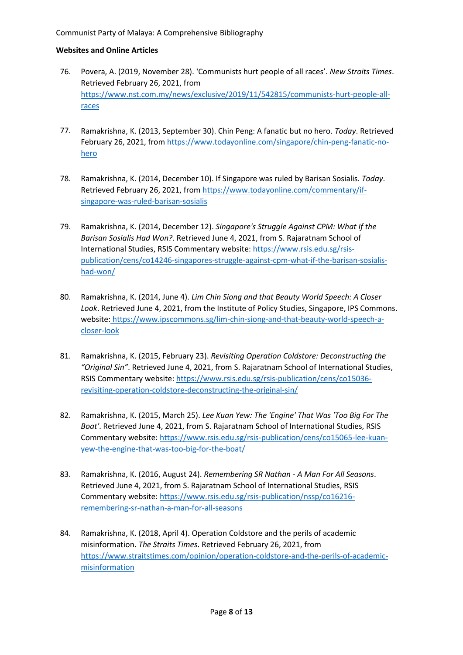- 76. Povera, A. (2019, November 28). 'Communists hurt people of all races'. *New Straits Times*. Retrieved February 26, 2021, from [https://www.nst.com.my/news/exclusive/2019/11/542815/communists-hurt-people-all](https://www.nst.com.my/news/exclusive/2019/11/542815/communists-hurt-people-all-races)[races](https://www.nst.com.my/news/exclusive/2019/11/542815/communists-hurt-people-all-races)
- 77. Ramakrishna, K. (2013, September 30). Chin Peng: A fanatic but no hero. *Today*. Retrieved February 26, 2021, from [https://www.todayonline.com/singapore/chin-peng-fanatic-no](https://www.todayonline.com/singapore/chin-peng-fanatic-no-hero)[hero](https://www.todayonline.com/singapore/chin-peng-fanatic-no-hero)
- 78. Ramakrishna, K. (2014, December 10). If Singapore was ruled by Barisan Sosialis. *Today*. Retrieved February 26, 2021, from [https://www.todayonline.com/commentary/if](https://www.todayonline.com/commentary/if-singapore-was-ruled-barisan-sosialis)[singapore-was-ruled-barisan-sosialis](https://www.todayonline.com/commentary/if-singapore-was-ruled-barisan-sosialis)
- 79. Ramakrishna, K. (2014, December 12). *Singapore's Struggle Against CPM: What If the Barisan Sosialis Had Won?*. Retrieved June 4, 2021, from S. Rajaratnam School of International Studies, RSIS Commentary website: [https://www.rsis.edu.sg/rsis](https://www.rsis.edu.sg/rsis-publication/cens/co14246-singapores-struggle-against-cpm-what-if-the-barisan-sosialis-had-won/)[publication/cens/co14246-singapores-struggle-against-cpm-what-if-the-barisan-sosialis](https://www.rsis.edu.sg/rsis-publication/cens/co14246-singapores-struggle-against-cpm-what-if-the-barisan-sosialis-had-won/)[had-won/](https://www.rsis.edu.sg/rsis-publication/cens/co14246-singapores-struggle-against-cpm-what-if-the-barisan-sosialis-had-won/)
- 80. Ramakrishna, K. (2014, June 4). *Lim Chin Siong and that Beauty World Speech: A Closer Look*. Retrieved June 4, 2021, from the Institute of Policy Studies, Singapore, IPS Commons. website: [https://www.ipscommons.sg/lim-chin-siong-and-that-beauty-world-speech-a](https://www.ipscommons.sg/lim-chin-siong-and-that-beauty-world-speech-a-closer-look)[closer-look](https://www.ipscommons.sg/lim-chin-siong-and-that-beauty-world-speech-a-closer-look)
- 81. Ramakrishna, K. (2015, February 23). *Revisiting Operation Coldstore: Deconstructing the "Original Sin"*. Retrieved June 4, 2021, from S. Rajaratnam School of International Studies, RSIS Commentary website[: https://www.rsis.edu.sg/rsis-publication/cens/co15036](https://www.rsis.edu.sg/rsis-publication/cens/co15036-revisiting-operation-coldstore-deconstructing-the-original-sin/) [revisiting-operation-coldstore-deconstructing-the-original-sin/](https://www.rsis.edu.sg/rsis-publication/cens/co15036-revisiting-operation-coldstore-deconstructing-the-original-sin/)
- 82. Ramakrishna, K. (2015, March 25). *Lee Kuan Yew: The 'Engine' That Was 'Too Big For The Boat'*. Retrieved June 4, 2021, from S. Rajaratnam School of International Studies, RSIS Commentary website: [https://www.rsis.edu.sg/rsis-publication/cens/co15065-lee-kuan](https://www.rsis.edu.sg/rsis-publication/cens/co15065-lee-kuan-yew-the-engine-that-was-too-big-for-the-boat/#.YMLmn_kzY2w)[yew-the-engine-that-was-too-big-for-the-boat/](https://www.rsis.edu.sg/rsis-publication/cens/co15065-lee-kuan-yew-the-engine-that-was-too-big-for-the-boat/#.YMLmn_kzY2w)
- 83. Ramakrishna, K. (2016, August 24). *Remembering SR Nathan - A Man For All Seasons*. Retrieved June 4, 2021, from S. Rajaratnam School of International Studies, RSIS Commentary website: [https://www.rsis.edu.sg/rsis-publication/nssp/co16216](https://www.rsis.edu.sg/rsis-publication/nssp/co16216-remembering-sr-nathan-a-man-for-all-seasons) [remembering-sr-nathan-a-man-for-all-seasons](https://www.rsis.edu.sg/rsis-publication/nssp/co16216-remembering-sr-nathan-a-man-for-all-seasons)
- 84. Ramakrishna, K. (2018, April 4). Operation Coldstore and the perils of academic misinformation. *The Straits Times*. Retrieved February 26, 2021, from [https://www.straitstimes.com/opinion/operation-coldstore-and-the-perils-of-academic](https://www.straitstimes.com/opinion/operation-coldstore-and-the-perils-of-academic-misinformation)[misinformation](https://www.straitstimes.com/opinion/operation-coldstore-and-the-perils-of-academic-misinformation)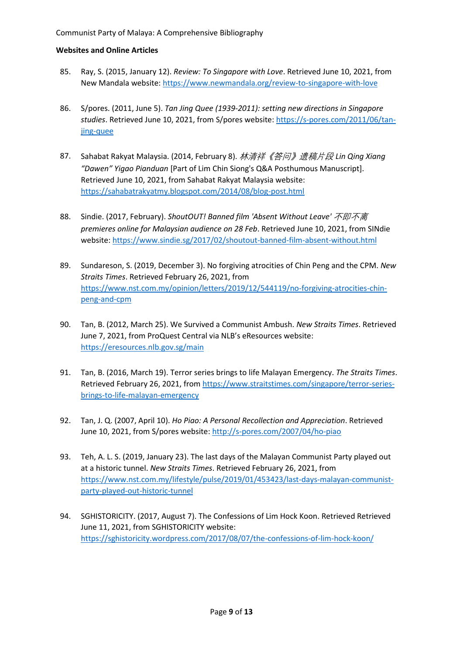- 85. Ray, S. (2015, January 12). *Review: To Singapore with Love*. Retrieved June 10, 2021, from New Mandala website: <https://www.newmandala.org/review-to-singapore-with-love>
- 86. S/pores. (2011, June 5). *Tan Jing Quee (1939-2011): setting new directions in Singapore studies*. Retrieved June 10, 2021, from S/pores website: [https://s-pores.com/2011/06/tan](https://s-pores.com/2011/06/tan-jing-quee)[jing-quee](https://s-pores.com/2011/06/tan-jing-quee)
- 87. Sahabat Rakyat Malaysia. (2014, February 8). 林清祥《答问》遗稿片段 *Lin Qing Xiang "Dawen" Yigao Pianduan* [Part of Lim Chin Siong's Q&A Posthumous Manuscript]. Retrieved June 10, 2021, from Sahabat Rakyat Malaysia website: <https://sahabatrakyatmy.blogspot.com/2014/08/blog-post.html>
- 88. Sindie. (2017, February). ShoutOUT! Banned film 'Absent Without Leave' 不即不离 *premieres online for Malaysian audience on 28 Feb*. Retrieved June 10, 2021, from SINdie website[: https://www.sindie.sg/2017/02/shoutout-banned-film-absent-without.html](https://www.sindie.sg/2017/02/shoutout-banned-film-absent-without.html)
- 89. Sundareson, S. (2019, December 3). No forgiving atrocities of Chin Peng and the CPM. *New Straits Times*. Retrieved February 26, 2021, from [https://www.nst.com.my/opinion/letters/2019/12/544119/no-forgiving-atrocities-chin](https://www.nst.com.my/opinion/letters/2019/12/544119/no-forgiving-atrocities-chin-peng-and-cpm)[peng-and-cpm](https://www.nst.com.my/opinion/letters/2019/12/544119/no-forgiving-atrocities-chin-peng-and-cpm)
- 90. Tan, B. (2012, March 25). We Survived a Communist Ambush. *New Straits Times*. Retrieved June 7, 2021, from ProQuest Central via NLB's eResources website: <https://eresources.nlb.gov.sg/main>
- 91. Tan, B. (2016, March 19). Terror series brings to life Malayan Emergency. *The Straits Times*. Retrieved February 26, 2021, from [https://www.straitstimes.com/singapore/terror-series](https://www.straitstimes.com/singapore/terror-series-brings-to-life-malayan-emergency)[brings-to-life-malayan-emergency](https://www.straitstimes.com/singapore/terror-series-brings-to-life-malayan-emergency)
- 92. Tan, J. Q. (2007, April 10). *Ho Piao: A Personal Recollection and Appreciation*. Retrieved June 10, 2021, from S/pores website: <http://s-pores.com/2007/04/ho-piao>
- 93. Teh, A. L. S. (2019, January 23). The last days of the Malayan Communist Party played out at a historic tunnel. *New Straits Times*. Retrieved February 26, 2021, from [https://www.nst.com.my/lifestyle/pulse/2019/01/453423/last-days-malayan-communist](https://www.nst.com.my/lifestyle/pulse/2019/01/453423/last-days-malayan-communist-party-played-out-historic-tunnel)[party-played-out-historic-tunnel](https://www.nst.com.my/lifestyle/pulse/2019/01/453423/last-days-malayan-communist-party-played-out-historic-tunnel)
- 94. SGHISTORICITY. (2017, August 7). The Confessions of Lim Hock Koon. Retrieved Retrieved June 11, 2021, from SGHISTORICITY website: <https://sghistoricity.wordpress.com/2017/08/07/the-confessions-of-lim-hock-koon/>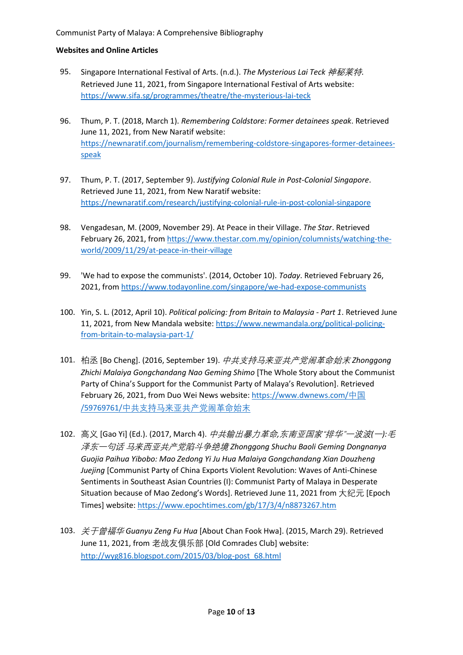- 95. Singapore International Festival of Arts. (n.d.). *The Mysterious Lai Teck* 神秘莱特. Retrieved June 11, 2021, from Singapore International Festival of Arts website: <https://www.sifa.sg/programmes/theatre/the-mysterious-lai-teck>
- 96. Thum, P. T. (2018, March 1). *Remembering Coldstore: Former detainees speak*. Retrieved June 11, 2021, from New Naratif website: [https://newnaratif.com/journalism/remembering-coldstore-singapores-former-detainees](https://newnaratif.com/journalism/remembering-coldstore-singapores-former-detainees-speak)[speak](https://newnaratif.com/journalism/remembering-coldstore-singapores-former-detainees-speak)
- 97. Thum, P. T. (2017, September 9). *Justifying Colonial Rule in Post-Colonial Singapore*. Retrieved June 11, 2021, from New Naratif website: <https://newnaratif.com/research/justifying-colonial-rule-in-post-colonial-singapore>
- 98. Vengadesan, M. (2009, November 29). At Peace in their Village. *The Star*. Retrieved February 26, 2021, fro[m https://www.thestar.com.my/opinion/columnists/watching-the](https://www.thestar.com.my/opinion/columnists/watching-the-world/2009/11/29/at-peace-in-their-village)[world/2009/11/29/at-peace-in-their-village](https://www.thestar.com.my/opinion/columnists/watching-the-world/2009/11/29/at-peace-in-their-village)
- 99. 'We had to expose the communists'. (2014, October 10). *Today*. Retrieved February 26, 2021, from <https://www.todayonline.com/singapore/we-had-expose-communists>
- 100. Yin, S. L. (2012, April 10). *Political policing: from Britain to Malaysia - Part 1*. Retrieved June 11, 2021, from New Mandala website[: https://www.newmandala.org/political-policing](https://www.newmandala.org/political-policing-from-britain-to-malaysia-part-1/)[from-britain-to-malaysia-part-1/](https://www.newmandala.org/political-policing-from-britain-to-malaysia-part-1/)
- 101. 柏丞 [Bo Cheng]. (2016, September 19). 中共支持马来亚共产党闹革命始末 *Zhonggong Zhichi Malaiya Gongchandang Nao Geming Shimo* [The Whole Story about the Communist Party of China's Support for the Communist Party of Malaya's Revolution]. Retrieved February 26, 2021, from Duo Wei News website[: https://www.dwnews.com/](https://www.dwnews.com/中国/59769761/中共支持马来亚共产党闹革命始末)[中国](https://www.dwnews.com/中国/59769761/中共支持马来亚共产党闹革命始末) [/59769761/](https://www.dwnews.com/中国/59769761/中共支持马来亚共产党闹革命始末)[中共支持马来亚共产党闹革命始末](https://www.dwnews.com/中国/59769761/中共支持马来亚共产党闹革命始末)
- 102. 高义 [Gao Yi] (Ed.). (2017, March 4). 中共输出暴力革命*,*东南亚国家"排华"一波波*(*一*):*毛 泽东一句话 马来西亚共产党陷斗争绝境 *Zhonggong Shuchu Baoli Geming Dongnanya Guojia Paihua Yibobo: Mao Zedong Yi Ju Hua Malaiya Gongchandang Xian Douzheng Juejing* [Communist Party of China Exports Violent Revolution: Waves of Anti-Chinese Sentiments in Southeast Asian Countries (I): Communist Party of Malaya in Desperate Situation because of Mao Zedong's Words]. Retrieved June 11, 2021 from 大纪元 [Epoch Times] website:<https://www.epochtimes.com/gb/17/3/4/n8873267.htm>
- 103. 关于曾福华 *Guanyu Zeng Fu Hua* [About Chan Fook Hwa]. (2015, March 29). Retrieved June 11, 2021, from 老战友俱乐部 [Old Comrades Club] website: [http://wyg816.blogspot.com/2015/03/blog-post\\_68.html](http://wyg816.blogspot.com/2015/03/blog-post_68.html)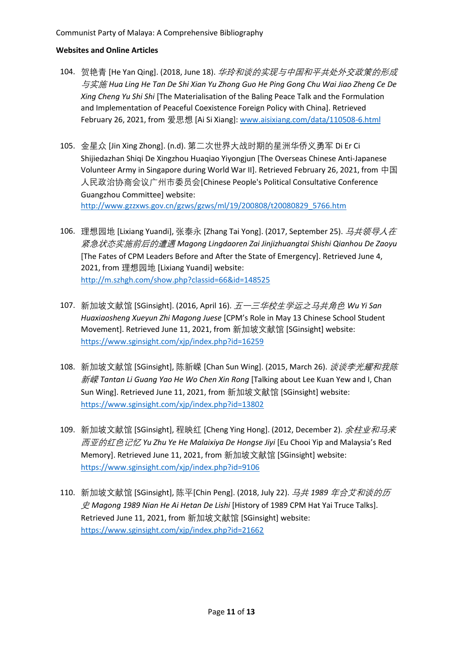- 104. 贺艳青 [He Yan Qing]. (2018, June 18). 华玲和谈的实现与中国和平共处外交政策的形成 与实施 *Hua Ling He Tan De Shi Xian Yu Zhong Guo He Ping Gong Chu Wai Jiao Zheng Ce De Xing Cheng Yu Shi Shi* [The Materialisation of the Baling Peace Talk and the Formulation and Implementation of Peaceful Coexistence Foreign Policy with China]. Retrieved February 26, 2021, from 爱思想 [Ai Si Xiang][: www.aisixiang.com/data/110508-6.html](http://www.aisixiang.com/data/110508-6.html)
- 105. 金星众 [Jin Xing Zhong]. (n.d). 第二次世界大战时期的星洲华侨义勇军 Di Er Ci Shijiedazhan Shiqi De Xingzhou Huaqiao Yiyongjun [The Overseas Chinese Anti-Japanese Volunteer Army in Singapore during World War II]. Retrieved February 26, 2021, from 中国 人民政治协商会议广州市委员会[Chinese People's Political Consultative Conference Guangzhou Committee] website: [http://www.gzzxws.gov.cn/gzws/gzws/ml/19/200808/t20080829\\_5766.htm](http://www.gzzxws.gov.cn/gzws/gzws/ml/19/200808/t20080829_5766.htm)
- 106. 理想园地 [Lixiang Yuandi], 张泰永 [Zhang Tai Yong]. (2017, September 25). *马共领导人在* 紧急状态实施前后的遭遇 *Magong Lingdaoren Zai Jinjizhuangtai Shishi Qianhou De Zaoyu* [The Fates of CPM Leaders Before and After the State of Emergency]. Retrieved June 4, 2021, from 理想园地 [Lixiang Yuandi] website: <http://m.szhgh.com/show.php?classid=66&id=148525>
- 107. 新加坡文献馆 [SGinsight]. (2016, April 16). 五一三华校生学运之马共角色 *Wu Yi San Huaxiaosheng Xueyun Zhi Magong Juese* [CPM's Role in May 13 Chinese School Student Movement]. Retrieved June 11, 2021, from 新加坡文献馆 [SGinsight] website: <https://www.sginsight.com/xjp/index.php?id=16259>
- 108. 新加坡文献馆 [SGinsight], 陈新嵘 [Chan Sun Wing]. (2015, March 26). *谈谈李光耀和我陈* 新嵘 *Tantan Li Guang Yao He Wo Chen Xin Rong* [Talking about Lee Kuan Yew and I, Chan Sun Wing]. Retrieved June 11, 2021, from 新加坡文献馆 [SGinsight] website: <https://www.sginsight.com/xjp/index.php?id=13802>
- 109. 新加坡文献馆 [SGinsight], 程映红 [Cheng Ying Hong]. (2012, December 2). *余柱业和马来* 西亚的红色记忆 *Yu Zhu Ye He Malaixiya De Hongse Jiyi* [Eu Chooi Yip and Malaysia's Red Memory]. Retrieved June 11, 2021, from 新加坡文献馆 [SGinsight] website: <https://www.sginsight.com/xjp/index.php?id=9106>
- 110. 新加坡文献馆 [SGinsight], 陈平[Chin Peng]. (2018, July 22). 马共 *1989* 年合艾和谈的历 史 *Magong 1989 Nian He Ai Hetan De Lishi* [History of 1989 CPM Hat Yai Truce Talks]. Retrieved June 11, 2021, from 新加坡文献馆 [SGinsight] website: <https://www.sginsight.com/xjp/index.php?id=21662>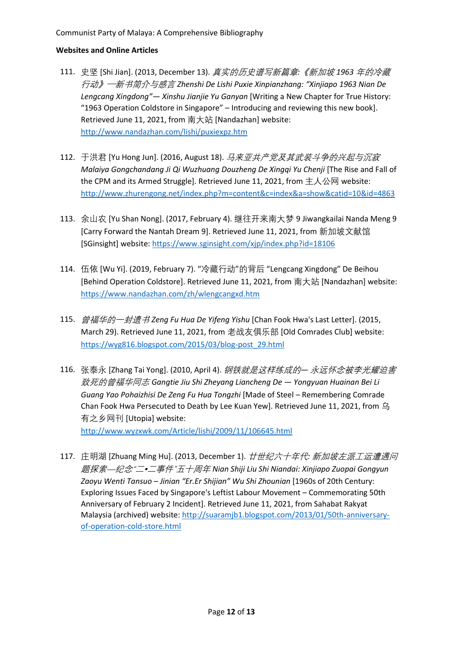- 111. 史坚 [Shi Jian]. (2013, December 13). 真实的历史谱写新篇章*:*《新加坡 *1963* 年的冷藏 行动》─新书简介与感言 *Zhenshi De Lishi Puxie Xinpianzhang: "Xinjiapo 1963 Nian De Lengcang Xingdong"— Xinshu Jianjie Yu Ganyan* [Writing a New Chapter for True History: "1963 Operation Coldstore in Singapore" – Introducing and reviewing this new book]. Retrieved June 11, 2021, from 南大站 [Nandazhan] website: <http://www.nandazhan.com/lishi/puxiexpz.htm>
- 112. 于洪君 [Yu Hong Jun]. (2016, August 18). *马来亚共产党及其武装斗争的兴起与沉寂 Malaiya Gongchandang Ji Qi Wuzhuang Douzheng De Xingqi Yu Chenji* [The Rise and Fall of the CPM and its Armed Struggle]. Retrieved June 11, 2021, from 主人公网 website: <http://www.zhurengong.net/index.php?m=content&c=index&a=show&catid=10&id=4863>
- 113. 余山农 [Yu Shan Nong]. (2017, February 4). 继往开来南大梦 9 Jiwangkailai Nanda Meng 9 [Carry Forward the Nantah Dream 9]. Retrieved June 11, 2021, from 新加坡文献馆 [SGinsight] website[: https://www.sginsight.com/xjp/index.php?id=18106](https://www.sginsight.com/xjp/index.php?id=18106)
- 114. 伍依 [Wu Yi]. (2019, February 7). "冷藏行动"的背后 "Lengcang Xingdong" De Beihou [Behind Operation Coldstore]. Retrieved June 11, 2021, from 南大站 [Nandazhan] website: <https://www.nandazhan.com/zh/wlengcangxd.htm>
- 115. 曾福华的一封遗书 *Zeng Fu Hua De Yifeng Yishu* [Chan Fook Hwa's Last Letter]. (2015, March 29). Retrieved June 11, 2021, from 老战友俱乐部 [Old Comrades Club] website: [https://wyg816.blogspot.com/2015/03/blog-post\\_29.html](https://wyg816.blogspot.com/2015/03/blog-post_29.html)
- 116. 张泰永 [Zhang Tai Yong]. (2010, April 4). 钢铁就是这样练成的*—* 永远怀念被李光耀迫害 致死的曾福华同志 *Gangtie Jiu Shi Zheyang Liancheng De — Yongyuan Huainan Bei Li Guang Yao Pohaizhisi De Zeng Fu Hua Tongzhi* [Made of Steel – Remembering Comrade Chan Fook Hwa Persecuted to Death by Lee Kuan Yew]. Retrieved June 11, 2021, from 乌 有之乡网刊 [Utopia] website:

<http://www.wyzxwk.com/Article/lishi/2009/11/106645.html>

117. 庄明湖 [Zhuang Ming Hu]. (2013, December 1). 廿世纪六十年代*:* 新加坡左派工运遭遇问 题探索—纪念"二•二事件"五十周年 *Nian Shiji Liu Shi Niandai: Xinjiapo Zuopai Gongyun Zaoyu Wenti Tansuo – Jinian "Er.Er Shijian" Wu Shi Zhounian* [1960s of 20th Century: Exploring Issues Faced by Singapore's Leftist Labour Movement – Commemorating 50th Anniversary of February 2 Incident]. Retrieved June 11, 2021, from Sahabat Rakyat Malaysia (archived) website: [http://suaramjb1.blogspot.com/2013/01/50th-anniversary](http://suaramjb1.blogspot.com/2013/01/50th-anniversary-of-operation-cold-store.html)[of-operation-cold-store.html](http://suaramjb1.blogspot.com/2013/01/50th-anniversary-of-operation-cold-store.html)